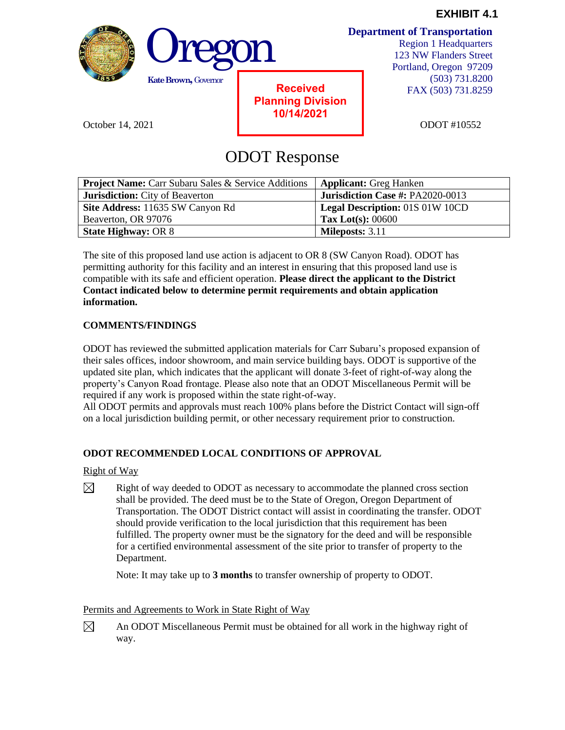



**Received Planning Division 10/14/2021**

October 14, 2021 **Detection 11, 2021 ODOT** #10552

# ODOT Response

| <b>Project Name:</b> Carr Subaru Sales & Service Additions | <b>Applicant:</b> Greg Hanken           |
|------------------------------------------------------------|-----------------------------------------|
| <b>Jurisdiction:</b> City of Beaverton                     | <b>Jurisdiction Case #: PA2020-0013</b> |
| Site Address: 11635 SW Canyon Rd                           | Legal Description: 01S 01W 10CD         |
| Beaverton, OR 97076                                        | Tax Lot(s): $00600$                     |
| <b>State Highway: OR 8</b>                                 | <b>Mileposts: 3.11</b>                  |

The site of this proposed land use action is adjacent to OR 8 (SW Canyon Road). ODOT has permitting authority for this facility and an interest in ensuring that this proposed land use is compatible with its safe and efficient operation. **Please direct the applicant to the District Contact indicated below to determine permit requirements and obtain application information.**

### **COMMENTS/FINDINGS**

ODOT has reviewed the submitted application materials for Carr Subaru's proposed expansion of their sales offices, indoor showroom, and main service building bays. ODOT is supportive of the updated site plan, which indicates that the applicant will donate 3-feet of right-of-way along the property's Canyon Road frontage. Please also note that an ODOT Miscellaneous Permit will be required if any work is proposed within the state right-of-way.

All ODOT permits and approvals must reach 100% plans before the District Contact will sign-off on a local jurisdiction building permit, or other necessary requirement prior to construction.

## **ODOT RECOMMENDED LOCAL CONDITIONS OF APPROVAL**

#### Right of Way

 $\boxtimes$ Right of way deeded to ODOT as necessary to accommodate the planned cross section shall be provided. The deed must be to the State of Oregon, Oregon Department of Transportation. The ODOT District contact will assist in coordinating the transfer. ODOT should provide verification to the local jurisdiction that this requirement has been fulfilled. The property owner must be the signatory for the deed and will be responsible for a certified environmental assessment of the site prior to transfer of property to the Department.

Note: It may take up to **3 months** to transfer ownership of property to ODOT.

#### Permits and Agreements to Work in State Right of Way

An ODOT Miscellaneous Permit must be obtained for all work in the highway right of  $\boxtimes$ way.

**Department of Transportation**

Region 1 Headquarters 123 NW Flanders Street Portland, Oregon 97209 (503) 731.8200 FAX (503) 731.8259